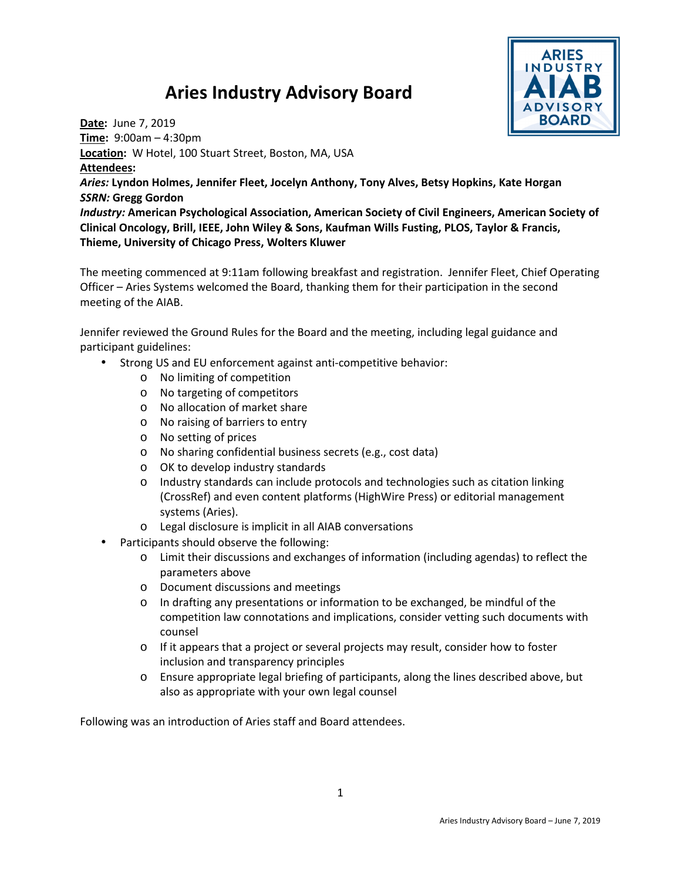## **Aries Industry Advisory Board**



**Date:** June 7, 2019 **Time:** 9:00am – 4:30pm **Location:** W Hotel, 100 Stuart Street, Boston, MA, USA **Attendees:**  *Aries:* **Lyndon Holmes, Jennifer Fleet, Jocelyn Anthony, Tony Alves, Betsy Hopkins, Kate Horgan**  *SSRN:* **Gregg Gordon**  *Industry:* **American Psychological Association, American Society of Civil Engineers, American Society of Clinical Oncology, Brill, IEEE, John Wiley & Sons, Kaufman Wills Fusting, PLOS, Taylor & Francis, Thieme, University of Chicago Press, Wolters Kluwer**

The meeting commenced at 9:11am following breakfast and registration. Jennifer Fleet, Chief Operating Officer – Aries Systems welcomed the Board, thanking them for their participation in the second meeting of the AIAB.

Jennifer reviewed the Ground Rules for the Board and the meeting, including legal guidance and participant guidelines:

- Strong US and EU enforcement against anti-competitive behavior:
	- o No limiting of competition
		- o No targeting of competitors
		- o No allocation of market share
		- o No raising of barriers to entry
		- o No setting of prices
		- o No sharing confidential business secrets (e.g., cost data)
	- o OK to develop industry standards
	- o Industry standards can include protocols and technologies such as citation linking (CrossRef) and even content platforms (HighWire Press) or editorial management systems (Aries).
	- o Legal disclosure is implicit in all AIAB conversations
- Participants should observe the following:
	- o Limit their discussions and exchanges of information (including agendas) to reflect the parameters above
	- o Document discussions and meetings
	- o In drafting any presentations or information to be exchanged, be mindful of the competition law connotations and implications, consider vetting such documents with counsel
	- $\circ$  If it appears that a project or several projects may result, consider how to foster inclusion and transparency principles
	- o Ensure appropriate legal briefing of participants, along the lines described above, but also as appropriate with your own legal counsel

Following was an introduction of Aries staff and Board attendees.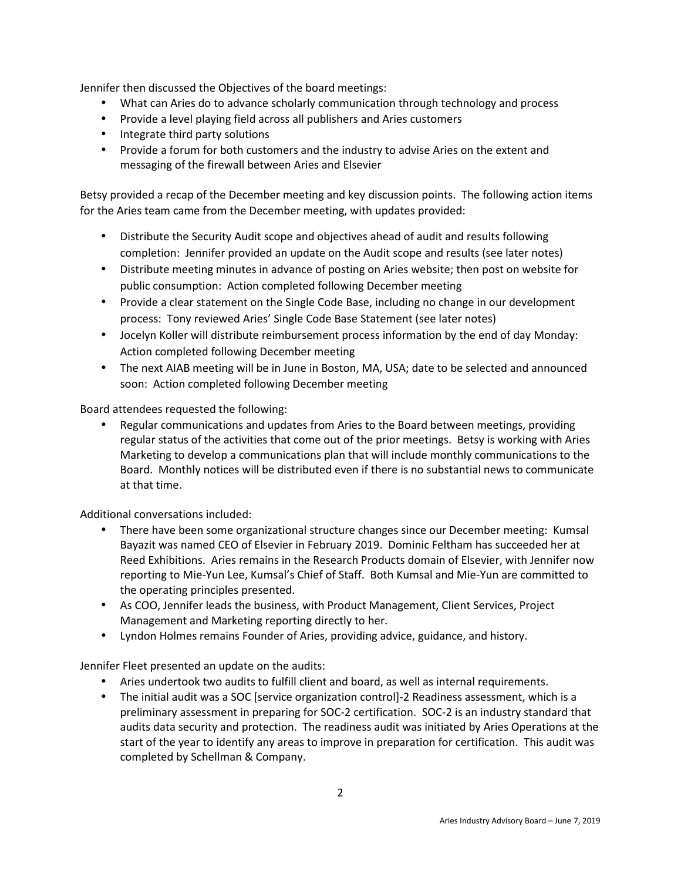Jennifer then discussed the Objectives of the board meetings:

- What can Aries do to advance scholarly communication through technology and process
- Provide a level playing field across all publishers and Aries customers
- Integrate third party solutions
- Provide a forum for both customers and the industry to advise Aries on the extent and messaging of the firewall between Aries and Elsevier

Betsy provided a recap of the December meeting and key discussion points. The following action items for the Aries team came from the December meeting, with updates provided:

- Distribute the Security Audit scope and objectives ahead of audit and results following completion: Jennifer provided an update on the Audit scope and results (see later notes)
- Distribute meeting minutes in advance of posting on Aries website; then post on website for public consumption: Action completed following December meeting
- Provide a clear statement on the Single Code Base, including no change in our development process: Tony reviewed Aries' Single Code Base Statement (see later notes)
- Jocelyn Koller will distribute reimbursement process information by the end of day Monday: Action completed following December meeting
- The next AIAB meeting will be in June in Boston, MA, USA; date to be selected and announced soon: Action completed following December meeting

Board attendees requested the following:

• Regular communications and updates from Aries to the Board between meetings, providing regular status of the activities that come out of the prior meetings. Betsy is working with Aries Marketing to develop a communications plan that will include monthly communications to the Board. Monthly notices will be distributed even if there is no substantial news to communicate at that time.

Additional conversations included:

- There have been some organizational structure changes since our December meeting: Kumsal Bayazit was named CEO of Elsevier in February 2019. Dominic Feltham has succeeded her at Reed Exhibitions. Aries remains in the Research Products domain of Elsevier, with Jennifer now reporting to Mie-Yun Lee, Kumsal's Chief of Staff. Both Kumsal and Mie-Yun are committed to the operating principles presented.
- As COO, Jennifer leads the business, with Product Management, Client Services, Project Management and Marketing reporting directly to her.
- Lyndon Holmes remains Founder of Aries, providing advice, guidance, and history.

Jennifer Fleet presented an update on the audits:

- Aries undertook two audits to fulfill client and board, as well as internal requirements.
- The initial audit was a SOC [service organization control]-2 Readiness assessment, which is a preliminary assessment in preparing for SOC-2 certification. SOC-2 is an industry standard that audits data security and protection. The readiness audit was initiated by Aries Operations at the start of the year to identify any areas to improve in preparation for certification. This audit was completed by Schellman & Company.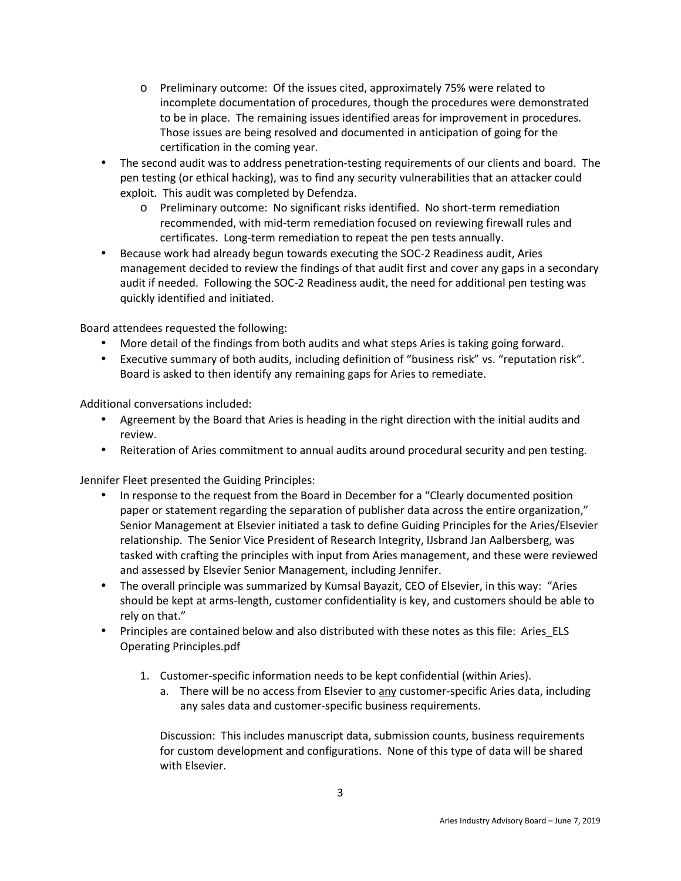- o Preliminary outcome: Of the issues cited, approximately 75% were related to incomplete documentation of procedures, though the procedures were demonstrated to be in place. The remaining issues identified areas for improvement in procedures. Those issues are being resolved and documented in anticipation of going for the certification in the coming year.
- The second audit was to address penetration-testing requirements of our clients and board. The pen testing (or ethical hacking), was to find any security vulnerabilities that an attacker could exploit. This audit was completed by Defendza.
	- o Preliminary outcome: No significant risks identified. No short-term remediation recommended, with mid-term remediation focused on reviewing firewall rules and certificates. Long-term remediation to repeat the pen tests annually.
- Because work had already begun towards executing the SOC-2 Readiness audit, Aries management decided to review the findings of that audit first and cover any gaps in a secondary audit if needed. Following the SOC-2 Readiness audit, the need for additional pen testing was quickly identified and initiated.

Board attendees requested the following:

- More detail of the findings from both audits and what steps Aries is taking going forward.
- Executive summary of both audits, including definition of "business risk" vs. "reputation risk". Board is asked to then identify any remaining gaps for Aries to remediate.

Additional conversations included:

- Agreement by the Board that Aries is heading in the right direction with the initial audits and review.
- Reiteration of Aries commitment to annual audits around procedural security and pen testing.

Jennifer Fleet presented the Guiding Principles:

- In response to the request from the Board in December for a "Clearly documented position paper or statement regarding the separation of publisher data across the entire organization," Senior Management at Elsevier initiated a task to define Guiding Principles for the Aries/Elsevier relationship. The Senior Vice President of Research Integrity, IJsbrand Jan Aalbersberg, was tasked with crafting the principles with input from Aries management, and these were reviewed and assessed by Elsevier Senior Management, including Jennifer.
- The overall principle was summarized by Kumsal Bayazit, CEO of Elsevier, in this way: "Aries" should be kept at arms-length, customer confidentiality is key, and customers should be able to rely on that."
- Principles are contained below and also distributed with these notes as this file: Aries ELS Operating Principles.pdf
	- 1. Customer-specific information needs to be kept confidential (within Aries).
		- a. There will be no access from Elsevier to any customer-specific Aries data, including any sales data and customer-specific business requirements.

Discussion: This includes manuscript data, submission counts, business requirements for custom development and configurations. None of this type of data will be shared with Elsevier.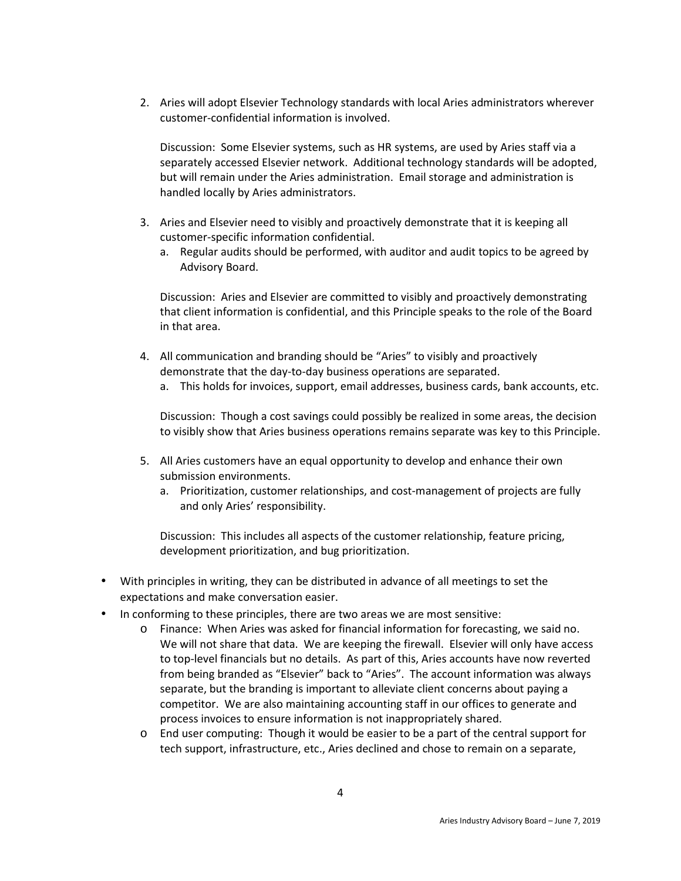2. Aries will adopt Elsevier Technology standards with local Aries administrators wherever customer-confidential information is involved.

Discussion: Some Elsevier systems, such as HR systems, are used by Aries staff via a separately accessed Elsevier network. Additional technology standards will be adopted, but will remain under the Aries administration. Email storage and administration is handled locally by Aries administrators.

- 3. Aries and Elsevier need to visibly and proactively demonstrate that it is keeping all customer-specific information confidential.
	- a. Regular audits should be performed, with auditor and audit topics to be agreed by Advisory Board.

Discussion: Aries and Elsevier are committed to visibly and proactively demonstrating that client information is confidential, and this Principle speaks to the role of the Board in that area.

- 4. All communication and branding should be "Aries" to visibly and proactively demonstrate that the day-to-day business operations are separated.
	- a. This holds for invoices, support, email addresses, business cards, bank accounts, etc.

Discussion: Though a cost savings could possibly be realized in some areas, the decision to visibly show that Aries business operations remains separate was key to this Principle.

- 5. All Aries customers have an equal opportunity to develop and enhance their own submission environments.
	- a. Prioritization, customer relationships, and cost-management of projects are fully and only Aries' responsibility.

Discussion: This includes all aspects of the customer relationship, feature pricing, development prioritization, and bug prioritization.

- With principles in writing, they can be distributed in advance of all meetings to set the expectations and make conversation easier.
- In conforming to these principles, there are two areas we are most sensitive:
	- o Finance: When Aries was asked for financial information for forecasting, we said no. We will not share that data. We are keeping the firewall. Elsevier will only have access to top-level financials but no details. As part of this, Aries accounts have now reverted from being branded as "Elsevier" back to "Aries". The account information was always separate, but the branding is important to alleviate client concerns about paying a competitor. We are also maintaining accounting staff in our offices to generate and process invoices to ensure information is not inappropriately shared.
	- o End user computing: Though it would be easier to be a part of the central support for tech support, infrastructure, etc., Aries declined and chose to remain on a separate,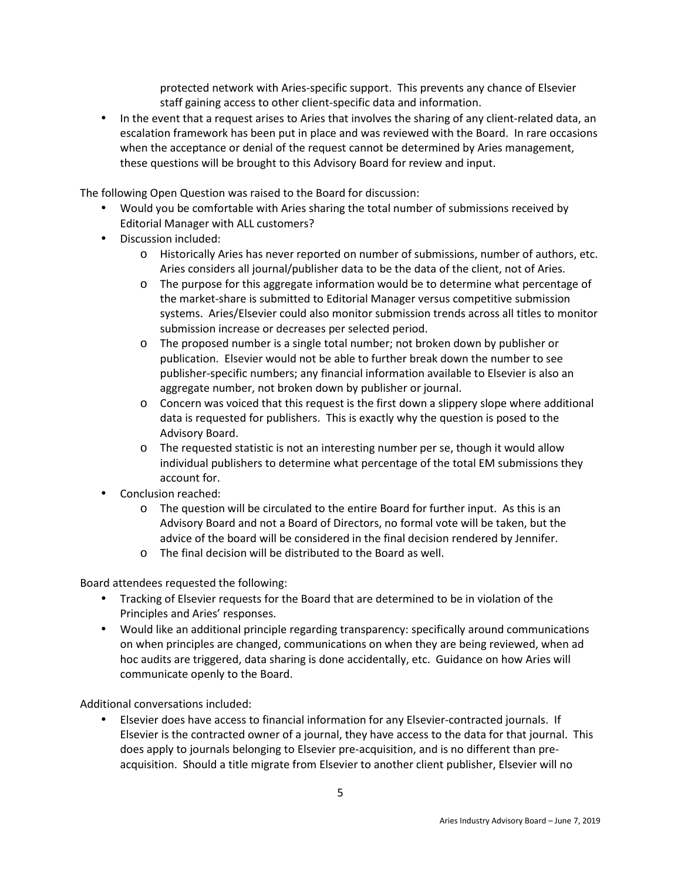protected network with Aries-specific support. This prevents any chance of Elsevier staff gaining access to other client-specific data and information.

• In the event that a request arises to Aries that involves the sharing of any client-related data, an escalation framework has been put in place and was reviewed with the Board. In rare occasions when the acceptance or denial of the request cannot be determined by Aries management, these questions will be brought to this Advisory Board for review and input.

The following Open Question was raised to the Board for discussion:

- Would you be comfortable with Aries sharing the total number of submissions received by Editorial Manager with ALL customers?
- Discussion included:
	- o Historically Aries has never reported on number of submissions, number of authors, etc. Aries considers all journal/publisher data to be the data of the client, not of Aries.
	- o The purpose for this aggregate information would be to determine what percentage of the market-share is submitted to Editorial Manager versus competitive submission systems. Aries/Elsevier could also monitor submission trends across all titles to monitor submission increase or decreases per selected period.
	- o The proposed number is a single total number; not broken down by publisher or publication. Elsevier would not be able to further break down the number to see publisher-specific numbers; any financial information available to Elsevier is also an aggregate number, not broken down by publisher or journal.
	- o Concern was voiced that this request is the first down a slippery slope where additional data is requested for publishers. This is exactly why the question is posed to the Advisory Board.
	- o The requested statistic is not an interesting number per se, though it would allow individual publishers to determine what percentage of the total EM submissions they account for.
- Conclusion reached:
	- o The question will be circulated to the entire Board for further input. As this is an Advisory Board and not a Board of Directors, no formal vote will be taken, but the advice of the board will be considered in the final decision rendered by Jennifer.
	- o The final decision will be distributed to the Board as well.

Board attendees requested the following:

- Tracking of Elsevier requests for the Board that are determined to be in violation of the Principles and Aries' responses.
- Would like an additional principle regarding transparency: specifically around communications on when principles are changed, communications on when they are being reviewed, when ad hoc audits are triggered, data sharing is done accidentally, etc. Guidance on how Aries will communicate openly to the Board.

Additional conversations included:

• Elsevier does have access to financial information for any Elsevier-contracted journals. If Elsevier is the contracted owner of a journal, they have access to the data for that journal. This does apply to journals belonging to Elsevier pre-acquisition, and is no different than preacquisition. Should a title migrate from Elsevier to another client publisher, Elsevier will no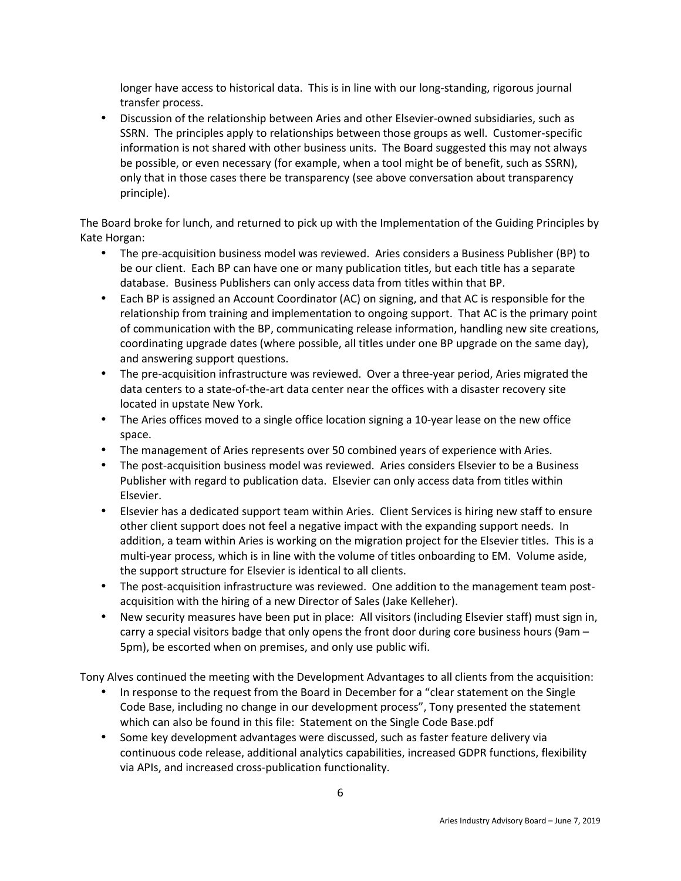longer have access to historical data. This is in line with our long-standing, rigorous journal transfer process.

• Discussion of the relationship between Aries and other Elsevier-owned subsidiaries, such as SSRN. The principles apply to relationships between those groups as well. Customer-specific information is not shared with other business units. The Board suggested this may not always be possible, or even necessary (for example, when a tool might be of benefit, such as SSRN), only that in those cases there be transparency (see above conversation about transparency principle).

The Board broke for lunch, and returned to pick up with the Implementation of the Guiding Principles by Kate Horgan:

- The pre-acquisition business model was reviewed. Aries considers a Business Publisher (BP) to be our client. Each BP can have one or many publication titles, but each title has a separate database. Business Publishers can only access data from titles within that BP.
- Each BP is assigned an Account Coordinator (AC) on signing, and that AC is responsible for the relationship from training and implementation to ongoing support. That AC is the primary point of communication with the BP, communicating release information, handling new site creations, coordinating upgrade dates (where possible, all titles under one BP upgrade on the same day), and answering support questions.
- The pre-acquisition infrastructure was reviewed. Over a three-year period, Aries migrated the data centers to a state-of-the-art data center near the offices with a disaster recovery site located in upstate New York.
- The Aries offices moved to a single office location signing a 10-year lease on the new office space.
- The management of Aries represents over 50 combined years of experience with Aries.
- The post-acquisition business model was reviewed. Aries considers Elsevier to be a Business Publisher with regard to publication data. Elsevier can only access data from titles within Elsevier.
- Elsevier has a dedicated support team within Aries. Client Services is hiring new staff to ensure other client support does not feel a negative impact with the expanding support needs. In addition, a team within Aries is working on the migration project for the Elsevier titles. This is a multi-year process, which is in line with the volume of titles onboarding to EM. Volume aside, the support structure for Elsevier is identical to all clients.
- The post-acquisition infrastructure was reviewed. One addition to the management team postacquisition with the hiring of a new Director of Sales (Jake Kelleher).
- New security measures have been put in place: All visitors (including Elsevier staff) must sign in, carry a special visitors badge that only opens the front door during core business hours (9am – 5pm), be escorted when on premises, and only use public wifi.

Tony Alves continued the meeting with the Development Advantages to all clients from the acquisition:

- In response to the request from the Board in December for a "clear statement on the Single Code Base, including no change in our development process", Tony presented the statement which can also be found in this file: Statement on the Single Code Base.pdf
- Some key development advantages were discussed, such as faster feature delivery via continuous code release, additional analytics capabilities, increased GDPR functions, flexibility via APIs, and increased cross-publication functionality.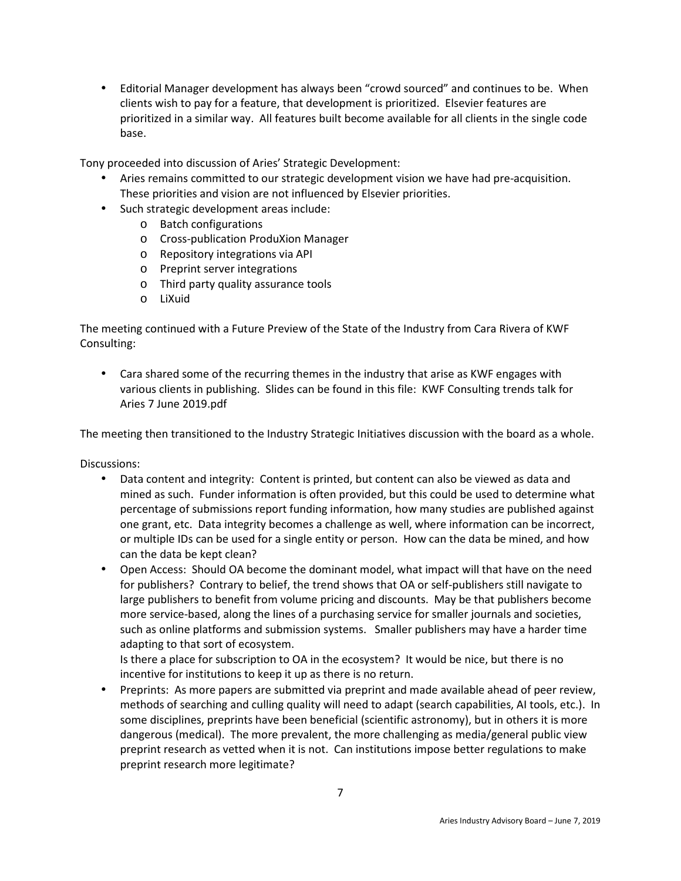• Editorial Manager development has always been "crowd sourced" and continues to be. When clients wish to pay for a feature, that development is prioritized. Elsevier features are prioritized in a similar way. All features built become available for all clients in the single code base.

Tony proceeded into discussion of Aries' Strategic Development:

- Aries remains committed to our strategic development vision we have had pre-acquisition. These priorities and vision are not influenced by Elsevier priorities.
- Such strategic development areas include:
	- o Batch configurations
	- o Cross-publication ProduXion Manager
	- o Repository integrations via API
	- o Preprint server integrations
	- o Third party quality assurance tools
	- o LiXuid

The meeting continued with a Future Preview of the State of the Industry from Cara Rivera of KWF Consulting:

• Cara shared some of the recurring themes in the industry that arise as KWF engages with various clients in publishing. Slides can be found in this file: KWF Consulting trends talk for Aries 7 June 2019.pdf

The meeting then transitioned to the Industry Strategic Initiatives discussion with the board as a whole.

Discussions:

- Data content and integrity: Content is printed, but content can also be viewed as data and mined as such. Funder information is often provided, but this could be used to determine what percentage of submissions report funding information, how many studies are published against one grant, etc. Data integrity becomes a challenge as well, where information can be incorrect, or multiple IDs can be used for a single entity or person. How can the data be mined, and how can the data be kept clean?
- Open Access: Should OA become the dominant model, what impact will that have on the need for publishers? Contrary to belief, the trend shows that OA or self-publishers still navigate to large publishers to benefit from volume pricing and discounts. May be that publishers become more service-based, along the lines of a purchasing service for smaller journals and societies, such as online platforms and submission systems. Smaller publishers may have a harder time adapting to that sort of ecosystem.

Is there a place for subscription to OA in the ecosystem? It would be nice, but there is no incentive for institutions to keep it up as there is no return.

• Preprints: As more papers are submitted via preprint and made available ahead of peer review, methods of searching and culling quality will need to adapt (search capabilities, AI tools, etc.). In some disciplines, preprints have been beneficial (scientific astronomy), but in others it is more dangerous (medical). The more prevalent, the more challenging as media/general public view preprint research as vetted when it is not. Can institutions impose better regulations to make preprint research more legitimate?